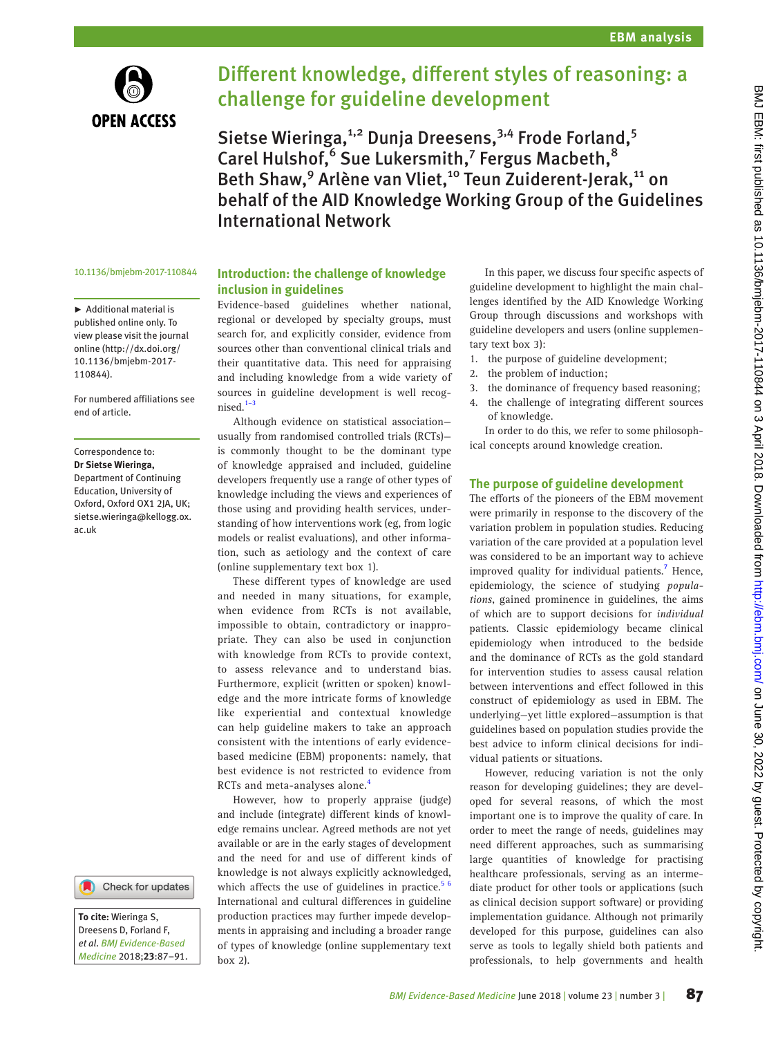

# Different knowledge, different styles of reasoning: a challenge for guideline development

Sietse Wieringa,<sup>1,2</sup> Dunja Dreesens,<sup>3,4</sup> Frode Forland,<sup>5</sup> Carel Hulshof,<sup>6</sup> Sue Lukersmith,<sup>7</sup> Fergus Macbeth,<sup>8</sup> Beth Shaw,<sup>9</sup> Arlène van Vliet,<sup>10</sup> Teun Zuiderent-Jerak,<sup>11</sup> on behalf of the AID Knowledge Working Group of the Guidelines International Network

#### 10.1136/bmjebm-2017-110844

► Additional material is published online only. To view please visit the journal online (http://dx.doi.org/ 10.1136/bmjebm-2017- 110844).

For numbered affiliations see end of article.

Correspondence to: *Dr Sietse Wieringa,* Department of Continuing Education, University of Oxford, Oxford OX1 2JA, UK; sietse.wieringa@kellogg.ox. ac.uk



*To cite:* Wieringa S, Dreesens D, Forland F, *et al*. *BMJ Evidence-Based Medicine* 2018;*23*:87–91.

## **Introduction: the challenge of knowledge inclusion in guidelines**

Evidence-based guidelines whether national, regional or developed by specialty groups, must search for, and explicitly consider, evidence from sources other than conventional clinical trials and their quantitative data. This need for appraising and including knowledge from a wide variety of sources in guideline development is well recognised. $1-3$ 

Although evidence on statistical association usually from randomised controlled trials (RCTs) is commonly thought to be the dominant type of knowledge appraised and included, guideline developers frequently use a range of other types of knowledge including the views and experiences of those using and providing health services, understanding of how interventions work (eg, from logic models or realist evaluations), and other information, such as aetiology and the context of care (online [supplementary text box 1](https://dx.doi.org/10.1136/bmjebm-2017-110844)).

These different types of knowledge are used and needed in many situations, for example, when evidence from RCTs is not available, impossible to obtain, contradictory or inappropriate. They can also be used in conjunction with knowledge from RCTs to provide context, to assess relevance and to understand bias. Furthermore, explicit (written or spoken) knowledge and the more intricate forms of knowledge like experiential and contextual knowledge can help guideline makers to take an approach consistent with the intentions of early evidencebased medicine (EBM) proponents: namely, that best evidence is not restricted to evidence from RCTs and meta-analyses alone.<sup>[4](#page-4-1)</sup>

However, how to properly appraise (judge) and include (integrate) different kinds of knowledge remains unclear. Agreed methods are not yet available or are in the early stages of development and the need for and use of different kinds of knowledge is not always explicitly acknowledged, which affects the use of guidelines in practice. $56$ International and cultural differences in guideline production practices may further impede developments in appraising and including a broader range of types of knowledge (online [supplementary text](https://dx.doi.org/10.1136/bmjebm-2017-110844)  [box 2\)](https://dx.doi.org/10.1136/bmjebm-2017-110844).

In this paper, we discuss four specific aspects of guideline development to highlight the main challenges identified by the AID Knowledge Working Group through discussions and workshops with guideline developers and users (online [supplemen](https://dx.doi.org/10.1136/bmjebm-2017-110844)[tary text box 3\)](https://dx.doi.org/10.1136/bmjebm-2017-110844):

- 1. the purpose of guideline development;
- 2. the problem of induction;
- 3. the dominance of frequency based reasoning;
- 4. the challenge of integrating different sources of knowledge.

In order to do this, we refer to some philosophical concepts around knowledge creation.

## **The purpose of guideline development**

The efforts of the pioneers of the EBM movement were primarily in response to the discovery of the variation problem in population studies. Reducing variation of the care provided at a population level was considered to be an important way to achieve improved quality for individual patients.<sup>7</sup> Hence, epidemiology, the science of studying *populations*, gained prominence in guidelines, the aims of which are to support decisions for *individual* patients. Classic epidemiology became clinical epidemiology when introduced to the bedside and the dominance of RCTs as the gold standard for intervention studies to assess causal relation between interventions and effect followed in this construct of epidemiology as used in EBM. The underlying—yet little explored—assumption is that guidelines based on population studies provide the best advice to inform clinical decisions for individual patients or situations.

However, reducing variation is not the only reason for developing guidelines; they are developed for several reasons, of which the most important one is to improve the quality of care. In order to meet the range of needs, guidelines may need different approaches, such as summarising large quantities of knowledge for practising healthcare professionals, serving as an intermediate product for other tools or applications (such as clinical decision support software) or providing implementation guidance. Although not primarily developed for this purpose, guidelines can also serve as tools to legally shield both patients and professionals, to help governments and health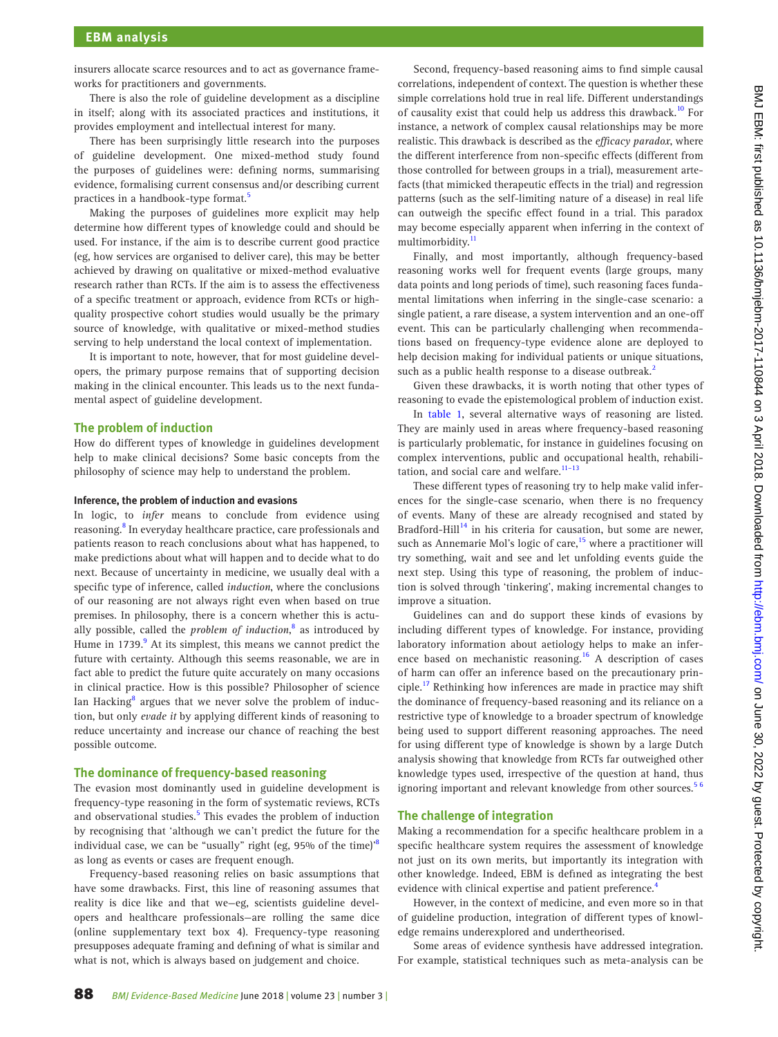insurers allocate scarce resources and to act as governance frameworks for practitioners and governments.

There is also the role of guideline development as a discipline in itself; along with its associated practices and institutions, it provides employment and intellectual interest for many.

There has been surprisingly little research into the purposes of guideline development. One mixed-method study found the purposes of guidelines were: defining norms, summarising evidence, formalising current consensus and/or describing current practices in a handbook-type format.<sup>5</sup>

Making the purposes of guidelines more explicit may help determine how different types of knowledge could and should be used. For instance, if the aim is to describe current good practice (eg, how services are organised to deliver care), this may be better achieved by drawing on qualitative or mixed-method evaluative research rather than RCTs. If the aim is to assess the effectiveness of a specific treatment or approach, evidence from RCTs or highquality prospective cohort studies would usually be the primary source of knowledge, with qualitative or mixed-method studies serving to help understand the local context of implementation.

It is important to note, however, that for most guideline developers, the primary purpose remains that of supporting decision making in the clinical encounter. This leads us to the next fundamental aspect of guideline development.

#### **The problem of induction**

How do different types of knowledge in guidelines development help to make clinical decisions? Some basic concepts from the philosophy of science may help to understand the problem.

#### **Inference, the problem of induction and evasions**

In logic, to *infer* means to conclude from evidence using reasoning.<sup>[8](#page-4-4)</sup> In everyday healthcare practice, care professionals and patients reason to reach conclusions about what has happened, to make predictions about what will happen and to decide what to do next. Because of uncertainty in medicine, we usually deal with a specific type of inference, called *induction*, where the conclusions of our reasoning are not always right even when based on true premises. In philosophy, there is a concern whether this is actually possible, called the *problem of induction*, [8](#page-4-4) as introduced by Hume in 173[9](#page-4-5).<sup>9</sup> At its simplest, this means we cannot predict the future with certainty. Although this seems reasonable, we are in fact able to predict the future quite accurately on many occasions in clinical practice. How is this possible? Philosopher of science Ian Hacking<sup>[8](#page-4-4)</sup> argues that we never solve the problem of induction, but only *evade it* by applying different kinds of reasoning to reduce uncertainty and increase our chance of reaching the best possible outcome.

#### **The dominance of frequency-based reasoning**

The evasion most dominantly used in guideline development is frequency-type reasoning in the form of systematic reviews, RCTs and observational studies.<sup>[5](#page-4-2)</sup> This evades the problem of induction by recognising that 'although we can't predict the future for the individual case, we can be "usually" right (eg, 95% of the time)<sup>[8](#page-4-4)</sup> as long as events or cases are frequent enough.

Frequency-based reasoning relies on basic assumptions that have some drawbacks. First, this line of reasoning assumes that reality is dice like and that we-eg, scientists guideline developers and healthcare professionals—are rolling the same dice (online  [supplementary text box 4\)](https://dx.doi.org/10.1136/bmjebm-2017-110844). Frequency-type reasoning presupposes adequate framing and defining of what is similar and what is not, which is always based on judgement and choice.

Second, frequency-based reasoning aims to find simple causal correlations, independent of context. The question is whether these simple correlations hold true in real life. Different understandings of causality exist that could help us address this drawback.<sup>10</sup> For instance, a network of complex causal relationships may be more realistic. This drawback is described as the *efficacy paradox*, where the different interference from non-specific effects (different from those controlled for between groups in a trial), measurement artefacts (that mimicked therapeutic effects in the trial) and regression patterns (such as the self-limiting nature of a disease) in real life can outweigh the specific effect found in a trial. This paradox may become especially apparent when inferring in the context of multimorbidity.<sup>[11](#page-4-7)</sup>

Finally, and most importantly, although frequency-based reasoning works well for frequent events (large groups, many data points and long periods of time), such reasoning faces fundamental limitations when inferring in the single-case scenario: a single patient, a rare disease, a system intervention and an one-off event. This can be particularly challenging when recommendations based on frequency-type evidence alone are deployed to help decision making for individual patients or unique situations, such as a public health response to a disease outbreak.<sup>2</sup>

Given these drawbacks, it is worth noting that other types of reasoning to evade the epistemological problem of induction exist.

In [table 1,](#page-2-0) several alternative ways of reasoning are listed. They are mainly used in areas where frequency-based reasoning is particularly problematic, for instance in guidelines focusing on complex interventions, public and occupational health, rehabilitation, and social care and welfare. $11-13$ 

These different types of reasoning try to help make valid inferences for the single-case scenario, when there is no frequency of events. Many of these are already recognised and stated by Bradford-Hill<sup>14</sup> in his criteria for causation, but some are newer, such as Annemarie Mol's logic of care, $15$  where a practitioner will try something, wait and see and let unfolding events guide the next step. Using this type of reasoning, the problem of induction is solved through 'tinkering', making incremental changes to improve a situation.

Guidelines can and do support these kinds of evasions by including different types of knowledge. For instance, providing laboratory information about aetiology helps to make an infer-ence based on mechanistic reasoning.<sup>[16](#page-4-11)</sup> A description of cases of harm can offer an inference based on the precautionary principle.[17](#page-4-12) Rethinking how inferences are made in practice may shift the dominance of frequency-based reasoning and its reliance on a restrictive type of knowledge to a broader spectrum of knowledge being used to support different reasoning approaches. The need for using different type of knowledge is shown by a large Dutch analysis showing that knowledge from RCTs far outweighed other knowledge types used, irrespective of the question at hand, thus ignoring important and relevant knowledge from other sources.<sup>56</sup>

## **The challenge of integration**

Making a recommendation for a specific healthcare problem in a specific healthcare system requires the assessment of knowledge not just on its own merits, but importantly its integration with other knowledge. Indeed, EBM is defined as integrating the best evidence with clinical expertise and patient preference.<sup>4</sup>

However, in the context of medicine, and even more so in that of guideline production, integration of different types of knowledge remains underexplored and undertheorised.

Some areas of evidence synthesis have addressed integration. For example, statistical techniques such as meta-analysis can be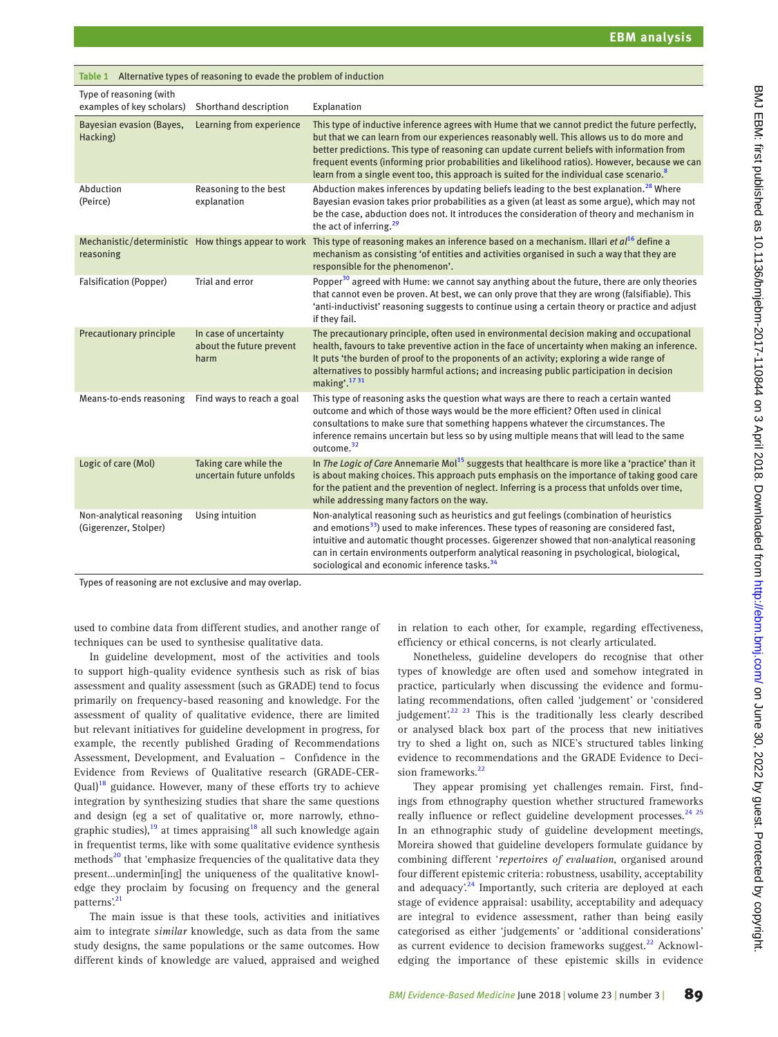<span id="page-2-0"></span>**Table 1** Alternative types of reasoning to evade the problem of induction

Type of reasoning (with

| examples of key scholars)                         | Shorthand description                                      | Explanation                                                                                                                                                                                                                                                                                                                                                                                                                                                                                           |
|---------------------------------------------------|------------------------------------------------------------|-------------------------------------------------------------------------------------------------------------------------------------------------------------------------------------------------------------------------------------------------------------------------------------------------------------------------------------------------------------------------------------------------------------------------------------------------------------------------------------------------------|
| Bayesian evasion (Bayes,<br>Hacking)              | Learning from experience                                   | This type of inductive inference agrees with Hume that we cannot predict the future perfectly,<br>but that we can learn from our experiences reasonably well. This allows us to do more and<br>better predictions. This type of reasoning can update current beliefs with information from<br>frequent events (informing prior probabilities and likelihood ratios). However, because we can<br>learn from a single event too, this approach is suited for the individual case scenario. <sup>8</sup> |
| Abduction<br>(Peirce)                             | Reasoning to the best<br>explanation                       | Abduction makes inferences by updating beliefs leading to the best explanation. <sup>28</sup> Where<br>Bayesian evasion takes prior probabilities as a given (at least as some argue), which may not<br>be the case, abduction does not. It introduces the consideration of theory and mechanism in<br>the act of inferring. <sup>29</sup>                                                                                                                                                            |
| reasoning                                         | Mechanistic/deterministic How things appear to work        | This type of reasoning makes an inference based on a mechanism. Illari et al <sup>16</sup> define a<br>mechanism as consisting 'of entities and activities organised in such a way that they are<br>responsible for the phenomenon'.                                                                                                                                                                                                                                                                  |
| <b>Falsification (Popper)</b>                     | Trial and error                                            | Popper <sup>30</sup> agreed with Hume: we cannot say anything about the future, there are only theories<br>that cannot even be proven. At best, we can only prove that they are wrong (falsifiable). This<br>'anti-inductivist' reasoning suggests to continue using a certain theory or practice and adjust<br>if they fail.                                                                                                                                                                         |
| Precautionary principle                           | In case of uncertainty<br>about the future prevent<br>harm | The precautionary principle, often used in environmental decision making and occupational<br>health, favours to take preventive action in the face of uncertainty when making an inference.<br>It puts 'the burden of proof to the proponents of an activity; exploring a wide range of<br>alternatives to possibly harmful actions; and increasing public participation in decision<br>making'. $1731$                                                                                               |
| Means-to-ends reasoning                           | Find ways to reach a goal                                  | This type of reasoning asks the question what ways are there to reach a certain wanted<br>outcome and which of those ways would be the more efficient? Often used in clinical<br>consultations to make sure that something happens whatever the circumstances. The<br>inference remains uncertain but less so by using multiple means that will lead to the same<br>outcome. <sup>32</sup>                                                                                                            |
| Logic of care (Mol)                               | Taking care while the<br>uncertain future unfolds          | In The Logic of Care Annemarie Mol <sup>15</sup> suggests that healthcare is more like a 'practice' than it<br>is about making choices. This approach puts emphasis on the importance of taking good care<br>for the patient and the prevention of neglect. Inferring is a process that unfolds over time,<br>while addressing many factors on the way.                                                                                                                                               |
| Non-analytical reasoning<br>(Gigerenzer, Stolper) | Using intuition                                            | Non-analytical reasoning such as heuristics and gut feelings (combination of heuristics<br>and emotions <sup>33</sup> ) used to make inferences. These types of reasoning are considered fast,<br>intuitive and automatic thought processes. Gigerenzer showed that non-analytical reasoning<br>can in certain environments outperform analytical reasoning in psychological, biological,<br>sociological and economic inference tasks. <sup>34</sup>                                                 |

Types of reasoning are not exclusive and may overlap.

used to combine data from different studies, and another range of techniques can be used to synthesise qualitative data.

In guideline development, most of the activities and tools to support high-quality evidence synthesis such as risk of bias assessment and quality assessment (such as GRADE) tend to focus primarily on frequency-based reasoning and knowledge. For the assessment of quality of qualitative evidence, there are limited but relevant initiatives for guideline development in progress, for example, the recently published Grading of Recommendations Assessment, Development, and Evaluation – Confidence in the Evidence from Reviews of Qualitative research (GRADE-CER-Qual) $18$  guidance. However, many of these efforts try to achieve integration by synthesizing studies that share the same questions and design (eg a set of qualitative or, more narrowly, ethnographic studies),<sup>19</sup> at times appraising<sup>18</sup> all such knowledge again in frequentist terms, like with some qualitative evidence synthesis methods $^{20}$  $^{20}$  $^{20}$  that 'emphasize frequencies of the qualitative data they present…undermin[ing] the uniqueness of the qualitative knowledge they proclaim by focusing on frequency and the general patterns'.<sup>21</sup>

The main issue is that these tools, activities and initiatives aim to integrate *similar* knowledge, such as data from the same study designs, the same populations or the same outcomes. How different kinds of knowledge are valued, appraised and weighed in relation to each other, for example, regarding effectiveness, efficiency or ethical concerns, is not clearly articulated.

Nonetheless, guideline developers do recognise that other types of knowledge are often used and somehow integrated in practice, particularly when discussing the evidence and formulating recommendations, often called 'judgement' or 'considered judgement'.<sup>22 23</sup> This is the traditionally less clearly described or analysed black box part of the process that new initiatives try to shed a light on, such as NICE's structured tables linking evidence to recommendations and the GRADE Evidence to Deci-sion frameworks.<sup>[22](#page-4-17)</sup>

They appear promising yet challenges remain. First, findings from ethnography question whether structured frameworks really influence or reflect guideline development processes. $^{24}$   $^{25}$ In an ethnographic study of guideline development meetings, Moreira showed that guideline developers formulate guidance by combining different '*repertoires of evaluation*, organised around four different epistemic criteria: robustness, usability, acceptability and adequacy.<sup>24</sup> Importantly, such criteria are deployed at each stage of evidence appraisal: usability, acceptability and adequacy are integral to evidence assessment, rather than being easily categorised as either 'judgements' or 'additional considerations' as current evidence to decision frameworks suggest. $^{22}$  Acknowledging the importance of these epistemic skills in evidence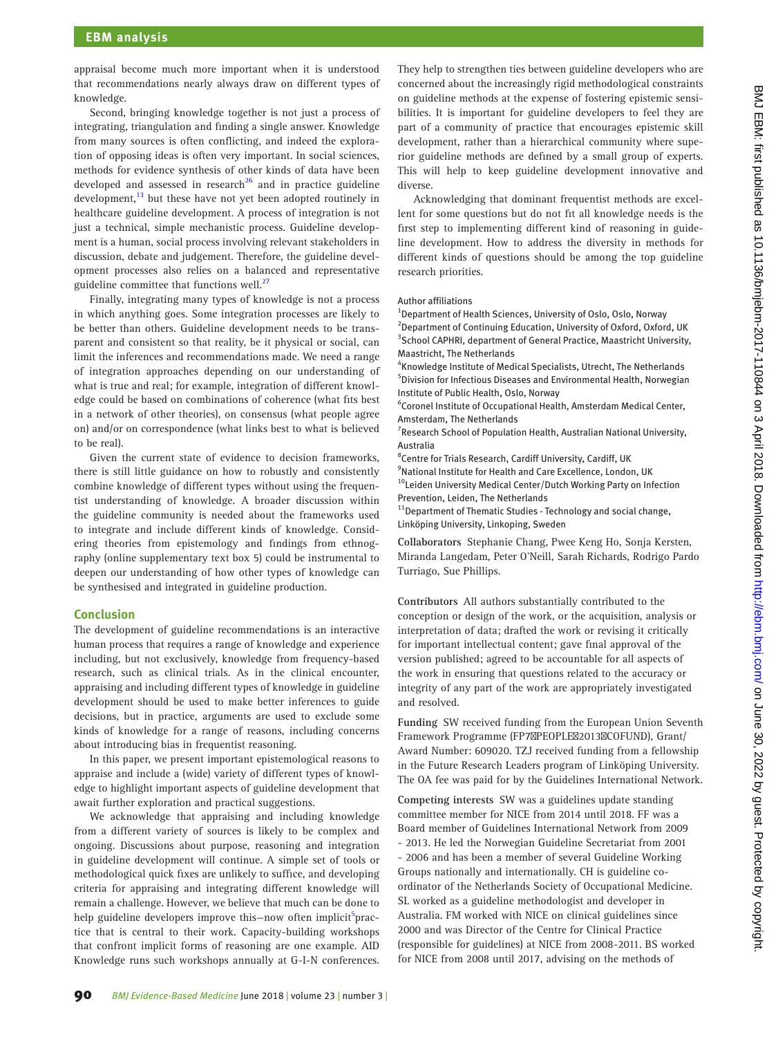appraisal become much more important when it is understood that recommendations nearly always draw on different types of knowledge.

Second, bringing knowledge together is not just a process of integrating, triangulation and finding a single answer. Knowledge from many sources is often conflicting, and indeed the exploration of opposing ideas is often very important. In social sciences, methods for evidence synthesis of other kinds of data have been developed and assessed in research $^{26}$  $^{26}$  $^{26}$  and in practice guideline development,<sup>13</sup> but these have not yet been adopted routinely in healthcare guideline development. A process of integration is not just a technical, simple mechanistic process. Guideline development is a human, social process involving relevant stakeholders in discussion, debate and judgement. Therefore, the guideline development processes also relies on a balanced and representative guideline committee that functions well.<sup>[27](#page-4-27)</sup>

Finally, integrating many types of knowledge is not a process in which anything goes. Some integration processes are likely to be better than others. Guideline development needs to be transparent and consistent so that reality, be it physical or social, can limit the inferences and recommendations made. We need a range of integration approaches depending on our understanding of what is true and real; for example, integration of different knowledge could be based on combinations of coherence (what fits best in a network of other theories), on consensus (what people agree on) and/or on correspondence (what links best to what is believed to be real).

Given the current state of evidence to decision frameworks, there is still little guidance on how to robustly and consistently combine knowledge of different types without using the frequentist understanding of knowledge. A broader discussion within the guideline community is needed about the frameworks used to integrate and include different kinds of knowledge. Considering theories from epistemology and findings from ethnography (online [supplementary text box 5](https://dx.doi.org/10.1136/bmjebm-2017-110844)) could be instrumental to deepen our understanding of how other types of knowledge can be synthesised and integrated in guideline production.

### **Conclusion**

The development of guideline recommendations is an interactive human process that requires a range of knowledge and experience including, but not exclusively, knowledge from frequency-based research, such as clinical trials. As in the clinical encounter, appraising and including different types of knowledge in guideline development should be used to make better inferences to guide decisions, but in practice, arguments are used to exclude some kinds of knowledge for a range of reasons, including concerns about introducing bias in frequentist reasoning.

In this paper, we present important epistemological reasons to appraise and include a (wide) variety of different types of knowledge to highlight important aspects of guideline development that await further exploration and practical suggestions.

We acknowledge that appraising and including knowledge from a different variety of sources is likely to be complex and ongoing. Discussions about purpose, reasoning and integration in guideline development will continue. A simple set of tools or methodological quick fixes are unlikely to suffice, and developing criteria for appraising and integrating different knowledge will remain a challenge. However, we believe that much can be done to help guideline developers improve this—now often implicit<sup>[5](#page-4-2)</sup>practice that is central to their work. Capacity-building workshops that confront implicit forms of reasoning are one example. AID Knowledge runs such workshops annually at G-I-N conferences. They help to strengthen ties between guideline developers who are concerned about the increasingly rigid methodological constraints on guideline methods at the expense of fostering epistemic sensibilities. It is important for guideline developers to feel they are part of a community of practice that encourages epistemic skill development, rather than a hierarchical community where superior guideline methods are defined by a small group of experts. This will help to keep guideline development innovative and diverse.

Acknowledging that dominant frequentist methods are excellent for some questions but do not fit all knowledge needs is the first step to implementing different kind of reasoning in guideline development. How to address the diversity in methods for different kinds of questions should be among the top guideline research priorities.

#### Author affiliations

<sup>1</sup> Department of Health Sciences, University of Oslo, Oslo, Norway <sup>2</sup> Department of Continuing Education, University of Oxford, Oxford, UK <sup>3</sup> School CAPHRI, department of General Practice, Maastricht University, Maastricht, The Netherlands

4 Knowledge Institute of Medical Specialists, Utrecht, The Netherlands 5 Division for Infectious Diseases and Environmental Health, Norwegian Institute of Public Health, Oslo, Norway

6 Coronel Institute of Occupational Health, Amsterdam Medical Center, Amsterdam, The Netherlands

<sup>7</sup> Research School of Population Health, Australian National University, Australia

<sup>8</sup> Centre for Trials Research, Cardiff University, Cardiff, UK

<sup>9</sup>National Institute for Health and Care Excellence, London, UK <sup>10</sup>Leiden University Medical Center/Dutch Working Party on Infection Prevention, Leiden, The Netherlands

<sup>11</sup>Department of Thematic Studies - Technology and social change, Linköping University, Linkoping, Sweden

**Collaborators** Stephanie Chang, Pwee Keng Ho, Sonja Kersten, Miranda Langedam, Peter O'Neill, Sarah Richards, Rodrigo Pardo Turriago, Sue Phillips.

**Contributors** All authors substantially contributed to the conception or design of the work, or the acquisition, analysis or interpretation of data; drafted the work or revising it critically for important intellectual content; gave final approval of the version published; agreed to be accountable for all aspects of the work in ensuring that questions related to the accuracy or integrity of any part of the work are appropriately investigated and resolved.

**Funding** SW received funding from the European Union Seventh Framework Programme (FP7 PEOPLE 2013 COFUND), Grant/ Award Number: 609020. TZJ received funding from a fellowship in the Future Research Leaders program of Linköping University. The OA fee was paid for by the Guidelines International Network.

**Competing interests** SW was a guidelines update standing committee member for NICE from 2014 until 2018. FF was a Board member of Guidelines International Network from 2009 - 2013. He led the Norwegian Guideline Secretariat from 2001 - 2006 and has been a member of several Guideline Working Groups nationally and internationally. CH is guideline coordinator of the Netherlands Society of Occupational Medicine. SL worked as a guideline methodologist and developer in Australia. FM worked with NICE on clinical guidelines since 2000 and was Director of the Centre for Clinical Practice (responsible for guidelines) at NICE from 2008-2011. BS worked for NICE from 2008 until 2017, advising on the methods of